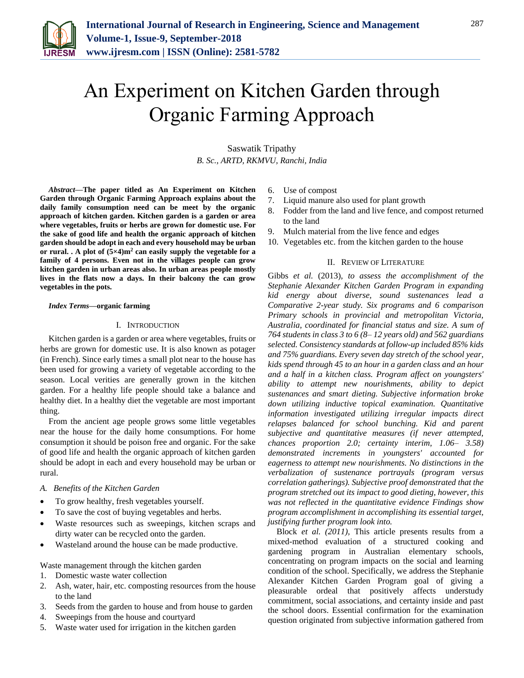

# An Experiment on Kitchen Garden through Organic Farming Approach

Saswatik Tripathy *B. Sc., ARTD, RKMVU, Ranchi, India*

*Abstract***—The paper titled as An Experiment on Kitchen Garden through Organic Farming Approach explains about the daily family consumption need can be meet by the organic approach of kitchen garden. Kitchen garden is a garden or area where vegetables, fruits or herbs are grown for domestic use. For the sake of good life and health the organic approach of kitchen garden should be adopt in each and every household may be urban or rural. . A plot of (5×4)m<sup>2</sup> can easily supply the vegetable for a family of 4 persons. Even not in the villages people can grow kitchen garden in urban areas also. In urban areas people mostly lives in the flats now a days. In their balcony the can grow vegetables in the pots.** 

#### *Index Terms***—organic farming**

#### I. INTRODUCTION

Kitchen garden is a garden or area where vegetables, fruits or herbs are grown for domestic use. It is also known as potager (in French). Since early times a small plot near to the house has been used for growing a variety of vegetable according to the season. Local verities are generally grown in the kitchen garden. For a healthy life people should take a balance and healthy diet. In a healthy diet the vegetable are most important thing.

From the ancient age people grows some little vegetables near the house for the daily home consumptions. For home consumption it should be poison free and organic. For the sake of good life and health the organic approach of kitchen garden should be adopt in each and every household may be urban or rural.

#### *A. Benefits of the Kitchen Garden*

- To grow healthy, fresh vegetables yourself.
- To save the cost of buying vegetables and herbs.
- Waste resources such as sweepings, kitchen scraps and dirty water can be recycled onto the garden.
- Wasteland around the house can be made productive.
- Waste management through the kitchen garden
- 1. Domestic waste water collection
- 2. Ash, water, hair, etc. composting resources from the house to the land
- 3. Seeds from the garden to house and from house to garden
- 4. Sweepings from the house and courtyard
- 5. Waste water used for irrigation in the kitchen garden
- 6. Use of compost
- 7. Liquid manure also used for plant growth
- 8. Fodder from the land and live fence, and compost returned to the land
- 9. Mulch material from the live fence and edges
- 10. Vegetables etc. from the kitchen garden to the house

#### II. REVIEW OF LITERATURE

Gibbs *et al.* (2013), *to assess the accomplishment of the Stephanie Alexander Kitchen Garden Program in expanding kid energy about diverse, sound sustenances lead a Comparative 2-year study. Six programs and 6 comparison Primary schools in provincial and metropolitan Victoria, Australia, coordinated for financial status and size. A sum of 764 students in class 3 to 6 (8– 12 years old) and 562 guardians selected. Consistency standards at follow-up included 85% kids and 75% guardians. Every seven day stretch of the school year, kids spend through 45 to an hour in a garden class and an hour and a half in a kitchen class. Program affect on youngsters' ability to attempt new nourishments, ability to depict sustenances and smart dieting. Subjective information broke down utilizing inductive topical examination. Quantitative information investigated utilizing irregular impacts direct relapses balanced for school bunching. Kid and parent subjective and quantitative measures (if never attempted, chances proportion 2.0; certainty interim, 1.06– 3.58) demonstrated increments in youngsters' accounted for eagerness to attempt new nourishments. No distinctions in the verbalization of sustenance portrayals (program versus correlation gatherings). Subjective proof demonstrated that the program stretched out its impact to good dieting, however, this was not reflected in the quantitative evidence Findings show program accomplishment in accomplishing its essential target, justifying further program look into.*

Block *et al. (2011),* This article presents results from a mixed-method evaluation of a structured cooking and gardening program in Australian elementary schools, concentrating on program impacts on the social and learning condition of the school. Specifically, we address the Stephanie Alexander Kitchen Garden Program goal of giving a pleasurable ordeal that positively affects understudy commitment, social associations, and certainty inside and past the school doors. Essential confirmation for the examination question originated from subjective information gathered from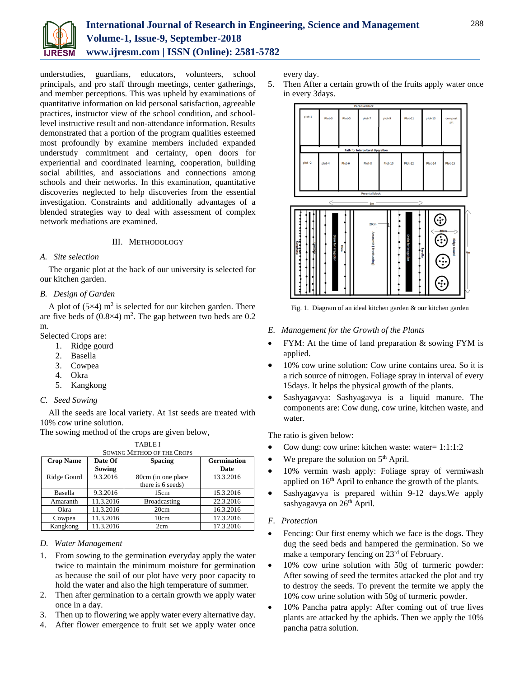

understudies, guardians, educators, volunteers, school principals, and pro staff through meetings, center gatherings, and member perceptions. This was upheld by examinations of quantitative information on kid personal satisfaction, agreeable practices, instructor view of the school condition, and schoollevel instructive result and non-attendance information. Results demonstrated that a portion of the program qualities esteemed most profoundly by examine members included expanded understudy commitment and certainty, open doors for experiential and coordinated learning, cooperation, building social abilities, and associations and connections among schools and their networks. In this examination, quantitative discoveries neglected to help discoveries from the essential investigation. Constraints and additionally advantages of a blended strategies way to deal with assessment of complex network mediations are examined.

#### III. METHODOLOGY

#### *A. Site selection*

The organic plot at the back of our university is selected for our kitchen garden.

#### *B. Design of Garden*

A plot of  $(5\times4)$  m<sup>2</sup> is selected for our kitchen garden. There are five beds of  $(0.8\times4)$  m<sup>2</sup>. The gap between two beds are 0.2 m.

Selected Crops are:

- 1. Ridge gourd
- 2. Basella
- 3. Cowpea
- 4. Okra
- 5. Kangkong

# *C. Seed Sowing*

All the seeds are local variety. At 1st seeds are treated with 10% cow urine solution.

The sowing method of the crops are given below,

| <b>SOWING METHOD OF THE CROPS</b> |               |                     |                    |  |  |  |  |  |
|-----------------------------------|---------------|---------------------|--------------------|--|--|--|--|--|
| <b>Crop Name</b>                  | Date Of       | <b>Spacing</b>      | <b>Germination</b> |  |  |  |  |  |
|                                   | <b>Sowing</b> |                     | Date               |  |  |  |  |  |
| Ridge Gourd                       | 9.3.2016      | 80cm (in one place  | 13.3.2016          |  |  |  |  |  |
|                                   |               | there is 6 seeds)   |                    |  |  |  |  |  |
| Basella                           | 9.3.2016      | 15cm                | 15.3.2016          |  |  |  |  |  |
| Amaranth                          | 11.3.2016     | <b>Broadcasting</b> | 22.3.2016          |  |  |  |  |  |
| Okra                              | 11.3.2016     | 20cm                | 16.3.2016          |  |  |  |  |  |
| Cowpea                            | 11.3.2016     | 10cm                | 17.3.2016          |  |  |  |  |  |
| Kangkong                          | 11.3.2016     | 2cm                 | 17.3.2016          |  |  |  |  |  |

# TABLE I

#### *D. Water Management*

- 1. From sowing to the germination everyday apply the water twice to maintain the minimum moisture for germination as because the soil of our plot have very poor capacity to hold the water and also the high temperature of summer.
- 2. Then after germination to a certain growth we apply water once in a day.
- 3. Then up to flowering we apply water every alternative day.
- 4. After flower emergence to fruit set we apply water once

every day.

5. Then After a certain growth of the fruits apply water once in every 3days.



Fig. 1. Diagram of an ideal kitchen garden & our kitchen garden

#### *E. Management for the Growth of the Plants*

- FYM: At the time of land preparation & sowing FYM is applied.
- 10% cow urine solution: Cow urine contains urea. So it is a rich source of nitrogen. Foliage spray in interval of every 15days. It helps the physical growth of the plants.
- Sashyagavya: Sashyagavya is a liquid manure. The components are: Cow dung, cow urine, kitchen waste, and water.

The ratio is given below:

- Cow dung: cow urine: kitchen waste: water= 1:1:1:2
- We prepare the solution on  $5<sup>th</sup>$  April.
- 10% vermin wash apply: Foliage spray of vermiwash applied on 16th April to enhance the growth of the plants.
- Sashyagavya is prepared within 9-12 days.We apply sashyagavya on 26<sup>th</sup> April.

## *F. Protection*

- Fencing: Our first enemy which we face is the dogs. They dug the seed beds and hampered the germination. So we make a temporary fencing on 23<sup>rd</sup> of February.
- 10% cow urine solution with 50g of turmeric powder: After sowing of seed the termites attacked the plot and try to destroy the seeds. To prevent the termite we apply the 10% cow urine solution with 50g of turmeric powder.
- 10% Pancha patra apply: After coming out of true lives plants are attacked by the aphids. Then we apply the 10% pancha patra solution.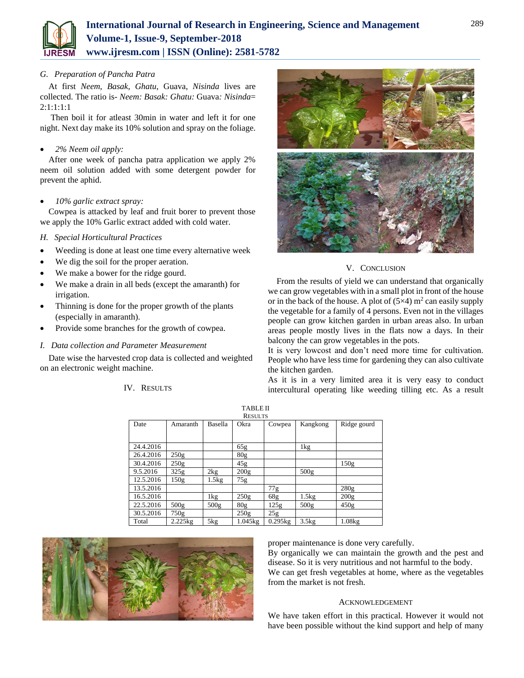

# *G. Preparation of Pancha Patra*

At first *Neem*, *Basak*, *Ghatu*, Guava, *Nisinda* lives are collected. The ratio is*- Neem: Basak: Ghatu:* Guava*: Nisinda*=  $2:1:1:1:1$ 

 Then boil it for atleast 30min in water and left it for one night. Next day make its 10% solution and spray on the foliage.

# *2% Neem oil apply:*

After one week of pancha patra application we apply 2% neem oil solution added with some detergent powder for prevent the aphid.

# *10% garlic extract spray:*

Cowpea is attacked by leaf and fruit borer to prevent those we apply the 10% Garlic extract added with cold water.

# *H. Special Horticultural Practices*

- Weeding is done at least one time every alternative week
- We dig the soil for the proper aeration.
- We make a bower for the ridge gourd.
- We make a drain in all beds (except the amaranth) for irrigation.
- Thinning is done for the proper growth of the plants (especially in amaranth).
- Provide some branches for the growth of cowpea.
- *I. Data collection and Parameter Measurement*

Date wise the harvested crop data is collected and weighted on an electronic weight machine.

# IV. RESULTS



# V. CONCLUSION

From the results of yield we can understand that organically we can grow vegetables with in a small plot in front of the house or in the back of the house. A plot of  $(5\times4)$  m<sup>2</sup> can easily supply the vegetable for a family of 4 persons. Even not in the villages people can grow kitchen garden in urban areas also. In urban areas people mostly lives in the flats now a days. In their balcony the can grow vegetables in the pots.

It is very lowcost and don't need more time for cultivation. People who have less time for gardening they can also cultivate the kitchen garden.

As it is in a very limited area it is very easy to conduct intercultural operating like weeding tilling etc. As a result

| <b>RESULTS</b> |                       |                  |                  |         |              |             |  |  |
|----------------|-----------------------|------------------|------------------|---------|--------------|-------------|--|--|
| Date           | Amaranth              | Basella          | Okra             | Cowpea  | Kangkong     | Ridge gourd |  |  |
|                |                       |                  |                  |         |              |             |  |  |
|                |                       |                  |                  |         |              |             |  |  |
| 24.4.2016      |                       |                  | 65g              |         | $1\text{kg}$ |             |  |  |
| 26.4.2016      | 250g                  |                  | 80 <sub>g</sub>  |         |              |             |  |  |
| 30.4.2016      | 250g                  |                  | 45g              |         |              | 150g        |  |  |
| 9.5.2016       | 325g                  | 2kg              | 200 <sub>g</sub> |         | 500g         |             |  |  |
| 12.5.2016      | 150g                  | 1.5kg            | 75g              |         |              |             |  |  |
| 13.5.2016      |                       |                  |                  | 77g     |              | 280g        |  |  |
| 16.5.2016      |                       | 1kg              | 250g             | 68g     | 1.5kg        | 200g        |  |  |
| 22.5.2016      | 500 <sub>g</sub>      | 500 <sub>g</sub> | 80 <sub>g</sub>  | 125g    | 500g         | 450g        |  |  |
| 30.5.2016      | 750g                  |                  | 250g             | 25g     |              |             |  |  |
| Total          | $2.225$ <sub>kg</sub> | 5kg              | $1.045$ kg       | 0.295kg | 3.5kg        | 1.08kg      |  |  |

TABLE II



proper maintenance is done very carefully.

By organically we can maintain the growth and the pest and disease. So it is very nutritious and not harmful to the body. We can get fresh vegetables at home, where as the vegetables from the market is not fresh.

## ACKNOWLEDGEMENT

We have taken effort in this practical. However it would not have been possible without the kind support and help of many